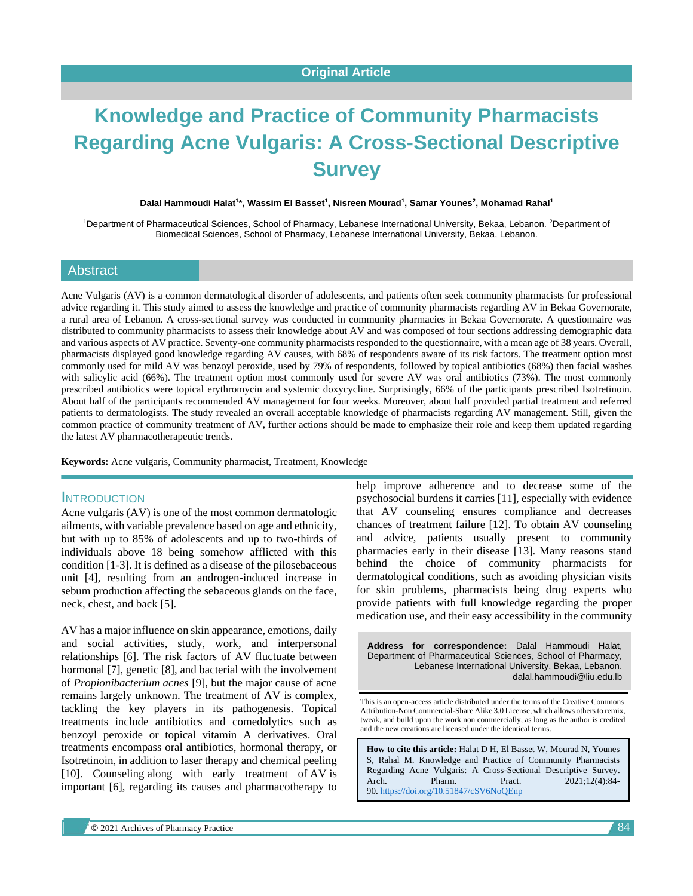# **Knowledge and Practice of Community Pharmacists Regarding Acne Vulgaris: A Cross-Sectional Descriptive Survey**

**Dalal Hammoudi Halat<sup>1</sup> \*, Wassim El Basset<sup>1</sup> , Nisreen Mourad<sup>1</sup> , Samar Younes<sup>2</sup> , Mohamad Rahal<sup>1</sup>**

1Department of Pharmaceutical Sciences, School of Pharmacy, Lebanese International University, Bekaa, Lebanon. <sup>2</sup>Department of Biomedical Sciences, School of Pharmacy, Lebanese International University, Bekaa, Lebanon.

#### **Abstract**

Acne Vulgaris (AV) is a common dermatological disorder of adolescents, and patients often seek community pharmacists for professional advice regarding it. This study aimed to assess the knowledge and practice of community pharmacists regarding AV in Bekaa Governorate, a rural area of Lebanon. A cross-sectional survey was conducted in community pharmacies in Bekaa Governorate. A questionnaire was distributed to community pharmacists to assess their knowledge about AV and was composed of four sections addressing demographic data and various aspects of AV practice. Seventy-one community pharmacists responded to the questionnaire, with a mean age of 38 years. Overall, pharmacists displayed good knowledge regarding AV causes, with 68% of respondents aware of its risk factors. The treatment option most commonly used for mild AV was benzoyl peroxide, used by 79% of respondents, followed by topical antibiotics (68%) then facial washes with salicylic acid (66%). The treatment option most commonly used for severe AV was oral antibiotics (73%). The most commonly prescribed antibiotics were topical erythromycin and systemic doxycycline. Surprisingly, 66% of the participants prescribed Isotretinoin. About half of the participants recommended AV management for four weeks. Moreover, about half provided partial treatment and referred patients to dermatologists. The study revealed an overall acceptable knowledge of pharmacists regarding AV management. Still, given the common practice of community treatment of AV, further actions should be made to emphasize their role and keep them updated regarding the latest AV pharmacotherapeutic trends.

**Keywords:** Acne vulgaris, Community pharmacist, Treatment, Knowledge

#### **INTRODUCTION**

Acne vulgaris (AV) is one of the most common dermatologic ailments, with variable prevalence based on age and ethnicity, but with up to 85% of adolescents and up to two-thirds of individuals above 18 being somehow afflicted with this condition [1-3]. It is defined as a disease of the pilosebaceous unit [4], resulting from an androgen-induced increase in sebum production affecting the sebaceous glands on the face, neck, chest, and back [5].

AV has a major influence on skin appearance, emotions, daily and social activities, study, work, and interpersonal relationships [6]. The risk factors of AV fluctuate between hormonal [7], genetic [8], and bacterial with the involvement of *Propionibacterium acnes* [9], but the major cause of acne remains largely unknown. The treatment of AV is complex, tackling the key players in its pathogenesis. Topical treatments include antibiotics and comedolytics such as benzoyl peroxide or topical vitamin A derivatives. Oral treatments encompass oral antibiotics, hormonal therapy, or Isotretinoin, in addition to laser therapy and chemical peeling [10]. Counseling along with early treatment of AV is important [6], regarding its causes and pharmacotherapy to help improve adherence and to decrease some of the psychosocial burdens it carries [11], especially with evidence that AV counseling ensures compliance and decreases chances of treatment failure [12]. To obtain AV counseling and advice, patients usually present to community pharmacies early in their disease [13]. Many reasons stand behind the choice of community pharmacists for dermatological conditions, such as avoiding physician visits for skin problems, pharmacists being drug experts who provide patients with full knowledge regarding the proper medication use, and their easy accessibility in the community

**Address for correspondence:** Dalal Hammoudi Halat, Department of Pharmaceutical Sciences, School of Pharmacy, Lebanese International University, Bekaa, Lebanon. dalal.hammoudi@liu.edu.lb

This is an open-access article distributed under the terms of the Creative Commons Attribution-Non Commercial-Share Alike 3.0 License, which allows others to remix, tweak, and build upon the work non commercially, as long as the author is credited and the new creations are licensed under the identical terms.

**How to cite this article:** Halat D H, El Basset W, Mourad N, Younes S, Rahal M. Knowledge and Practice of Community Pharmacists Regarding Acne Vulgaris: A Cross-Sectional Descriptive Survey. Arch. Pharm. Pract. 2021;12(4):84-90. <https://doi.org/10.51847/cSV6NoQEnp>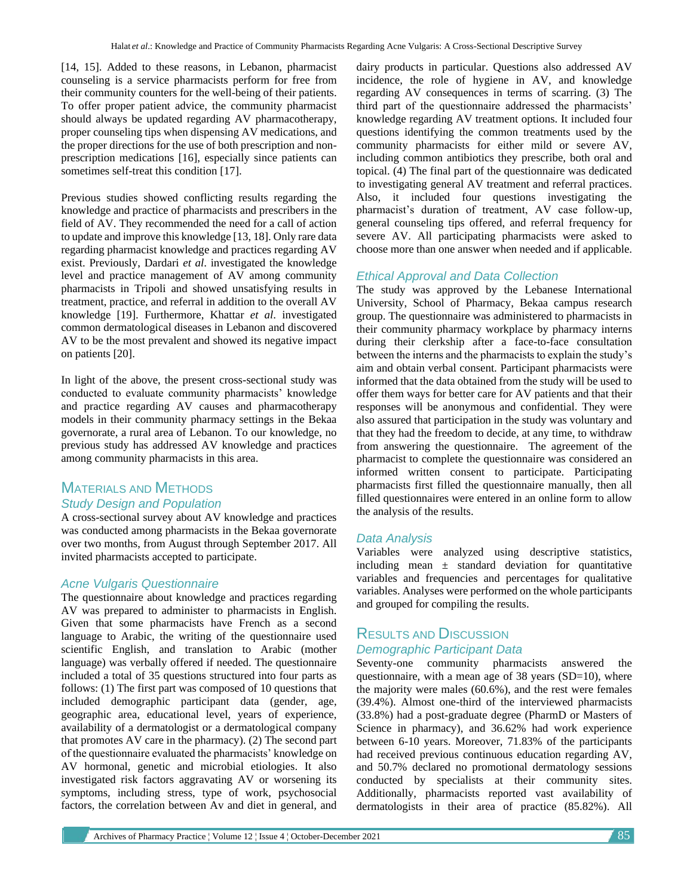[14, 15]. Added to these reasons, in Lebanon, pharmacist counseling is a service pharmacists perform for free from their community counters for the well-being of their patients. To offer proper patient advice, the community pharmacist should always be updated regarding AV pharmacotherapy, proper counseling tips when dispensing AV medications, and the proper directions for the use of both prescription and nonprescription medications [16], especially since patients can sometimes self-treat this condition [17].

Previous studies showed conflicting results regarding the knowledge and practice of pharmacists and prescribers in the field of AV. They recommended the need for a call of action to update and improve this knowledge [13, 18]. Only rare data regarding pharmacist knowledge and practices regarding AV exist. Previously, Dardari *et al*. investigated the knowledge level and practice management of AV among community pharmacists in Tripoli and showed unsatisfying results in treatment, practice, and referral in addition to the overall AV knowledge [19]. Furthermore, Khattar *et al*. investigated common dermatological diseases in Lebanon and discovered AV to be the most prevalent and showed its negative impact on patients [20].

In light of the above, the present cross-sectional study was conducted to evaluate community pharmacists' knowledge and practice regarding AV causes and pharmacotherapy models in their community pharmacy settings in the Bekaa governorate, a rural area of Lebanon. To our knowledge, no previous study has addressed AV knowledge and practices among community pharmacists in this area.

# MATERIALS AND METHODS *Study Design and Population*

A cross-sectional survey about AV knowledge and practices was conducted among pharmacists in the Bekaa governorate over two months, from August through September 2017. All invited pharmacists accepted to participate.

## *Acne Vulgaris Questionnaire*

The questionnaire about knowledge and practices regarding AV was prepared to administer to pharmacists in English. Given that some pharmacists have French as a second language to Arabic, the writing of the questionnaire used scientific English, and translation to Arabic (mother language) was verbally offered if needed. The questionnaire included a total of 35 questions structured into four parts as follows: (1) The first part was composed of 10 questions that included demographic participant data (gender, age, geographic area, educational level, years of experience, availability of a dermatologist or a dermatological company that promotes AV care in the pharmacy). (2) The second part of the questionnaire evaluated the pharmacists' knowledge on AV hormonal, genetic and microbial etiologies. It also investigated risk factors aggravating AV or worsening its symptoms, including stress, type of work, psychosocial factors, the correlation between Av and diet in general, and dairy products in particular. Questions also addressed AV incidence, the role of hygiene in AV, and knowledge regarding AV consequences in terms of scarring. (3) The third part of the questionnaire addressed the pharmacists' knowledge regarding AV treatment options. It included four questions identifying the common treatments used by the community pharmacists for either mild or severe AV, including common antibiotics they prescribe, both oral and topical. (4) The final part of the questionnaire was dedicated to investigating general AV treatment and referral practices. Also, it included four questions investigating the pharmacist's duration of treatment, AV case follow-up, general counseling tips offered, and referral frequency for severe AV. All participating pharmacists were asked to choose more than one answer when needed and if applicable.

## *Ethical Approval and Data Collection*

The study was approved by the Lebanese International University, School of Pharmacy, Bekaa campus research group. The questionnaire was administered to pharmacists in their community pharmacy workplace by pharmacy interns during their clerkship after a face-to-face consultation between the interns and the pharmacists to explain the study's aim and obtain verbal consent. Participant pharmacists were informed that the data obtained from the study will be used to offer them ways for better care for AV patients and that their responses will be anonymous and confidential. They were also assured that participation in the study was voluntary and that they had the freedom to decide, at any time, to withdraw from answering the questionnaire. The agreement of the pharmacist to complete the questionnaire was considered an informed written consent to participate. Participating pharmacists first filled the questionnaire manually, then all filled questionnaires were entered in an online form to allow the analysis of the results.

## *Data Analysis*

Variables were analyzed using descriptive statistics, including mean  $\pm$  standard deviation for quantitative variables and frequencies and percentages for qualitative variables. Analyses were performed on the whole participants and grouped for compiling the results.

# RESULTS AND DISCUSSION *Demographic Participant Data*

Seventy-one community pharmacists answered the questionnaire, with a mean age of 38 years (SD=10), where the majority were males (60.6%), and the rest were females (39.4%). Almost one-third of the interviewed pharmacists (33.8%) had a post-graduate degree (PharmD or Masters of Science in pharmacy), and 36.62% had work experience between 6-10 years. Moreover, 71.83% of the participants had received previous continuous education regarding AV, and 50.7% declared no promotional dermatology sessions conducted by specialists at their community sites. Additionally, pharmacists reported vast availability of dermatologists in their area of practice (85.82%). All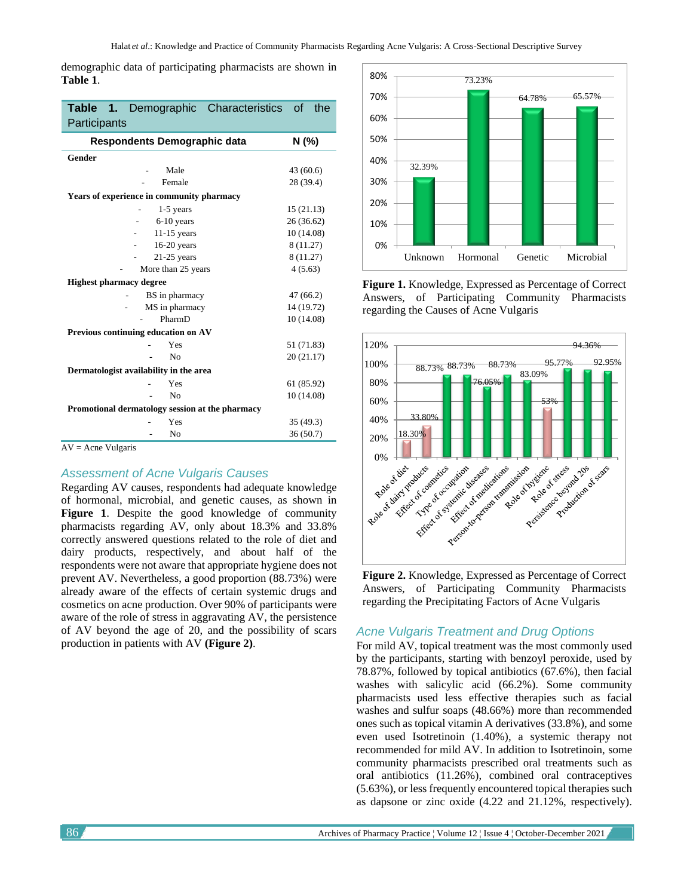demographic data of participating pharmacists are shown in **Table 1**.

| Participants                                    | Table 1. Demographic Characteristics of the |  |  |
|-------------------------------------------------|---------------------------------------------|--|--|
| Respondents Demographic data                    | N (%)                                       |  |  |
| <b>Gender</b>                                   |                                             |  |  |
| Male                                            | 43 (60.6)                                   |  |  |
| Female                                          | 28 (39.4)                                   |  |  |
| Years of experience in community pharmacy       |                                             |  |  |
| 1-5 years                                       | 15(21.13)                                   |  |  |
| $6-10$ years                                    | 26 (36.62)                                  |  |  |
| $11-15$ years                                   | 10 (14.08)                                  |  |  |
| $16-20$ years                                   | 8 (11.27)                                   |  |  |
| $21-25$ years                                   | 8 (11.27)                                   |  |  |
| More than 25 years                              | 4(5.63)                                     |  |  |
| <b>Highest pharmacy degree</b>                  |                                             |  |  |
| BS in pharmacy                                  | 47(66.2)                                    |  |  |
| MS in pharmacy                                  | 14 (19.72)                                  |  |  |
| PharmD                                          | 10 (14.08)                                  |  |  |
| Previous continuing education on AV             |                                             |  |  |
| Yes                                             | 51 (71.83)                                  |  |  |
| N <sub>0</sub>                                  | 20 (21.17)                                  |  |  |
| Dermatologist availability in the area          |                                             |  |  |
| Yes                                             | 61 (85.92)                                  |  |  |
| No                                              | 10 (14.08)                                  |  |  |
| Promotional dermatology session at the pharmacy |                                             |  |  |
| Yes                                             | 35 (49.3)                                   |  |  |
| No                                              | 36(50.7)                                    |  |  |

 $AV =$  Acne Vulgaris

## *Assessment of Acne Vulgaris Causes*

Regarding AV causes, respondents had adequate knowledge of hormonal, microbial, and genetic causes, as shown in **Figure 1**. Despite the good knowledge of community pharmacists regarding AV, only about 18.3% and 33.8% correctly answered questions related to the role of diet and dairy products, respectively, and about half of the respondents were not aware that appropriate hygiene does not prevent AV. Nevertheless, a good proportion (88.73%) were already aware of the effects of certain systemic drugs and cosmetics on acne production. Over 90% of participants were aware of the role of stress in aggravating AV, the persistence of AV beyond the age of 20, and the possibility of scars production in patients with AV **(Figure 2)**.



**Figure 1.** Knowledge, Expressed as Percentage of Correct Answers, of Participating Community Pharmacists regarding the Causes of Acne Vulgaris



**Figure 2.** Knowledge, Expressed as Percentage of Correct Answers, of Participating Community Pharmacists regarding the Precipitating Factors of Acne Vulgaris

#### *Acne Vulgaris Treatment and Drug Options*

For mild AV, topical treatment was the most commonly used by the participants, starting with benzoyl peroxide, used by 78.87%, followed by topical antibiotics (67.6%), then facial washes with salicylic acid (66.2%). Some community pharmacists used less effective therapies such as facial washes and sulfur soaps (48.66%) more than recommended ones such as topical vitamin A derivatives (33.8%), and some even used Isotretinoin (1.40%), a systemic therapy not recommended for mild AV. In addition to Isotretinoin, some community pharmacists prescribed oral treatments such as oral antibiotics (11.26%), combined oral contraceptives (5.63%), or less frequently encountered topical therapies such as dapsone or zinc oxide (4.22 and 21.12%, respectively).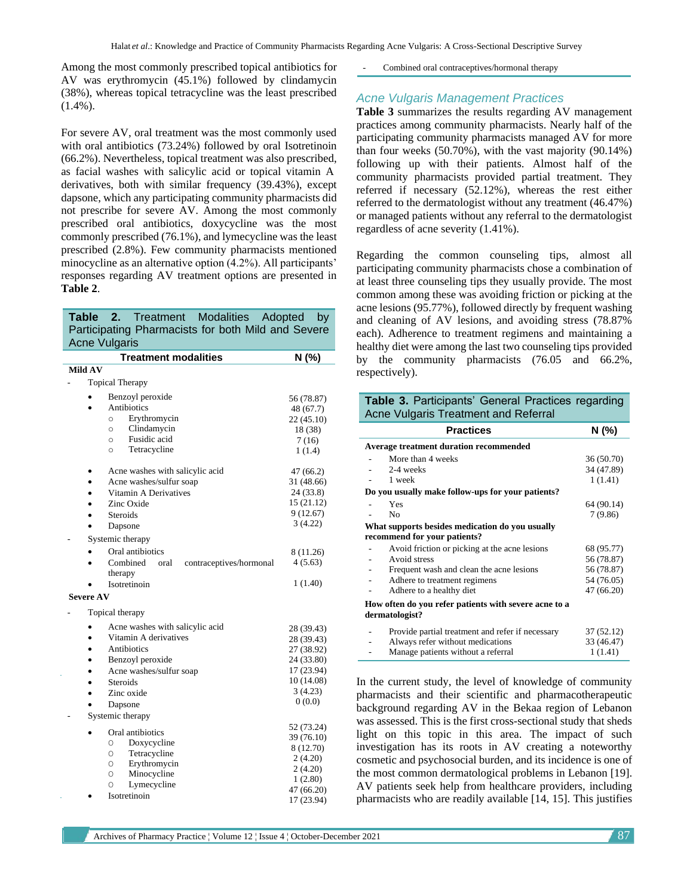Among the most commonly prescribed topical antibiotics for AV was erythromycin (45.1%) followed by clindamycin (38%), whereas topical tetracycline was the least prescribed  $(1.4\%)$ .

For severe AV, oral treatment was the most commonly used with oral antibiotics (73.24%) followed by oral Isotretinoin (66.2%). Nevertheless, topical treatment was also prescribed, as facial washes with salicylic acid or topical vitamin A derivatives, both with similar frequency (39.43%), except dapsone, which any participating community pharmacists did not prescribe for severe AV. Among the most commonly prescribed oral antibiotics, doxycycline was the most commonly prescribed (76.1%), and lymecycline was the least prescribed (2.8%). Few community pharmacists mentioned minocycline as an alternative option (4.2%). All participants' responses regarding AV treatment options are presented in **Table 2**.

| <b>Modalities</b><br>Adopted<br>Table<br>2.<br><b>Treatment</b><br>by |            |  |  |
|-----------------------------------------------------------------------|------------|--|--|
| Participating Pharmacists for both Mild and Severe                    |            |  |  |
| <b>Acne Vulgaris</b>                                                  |            |  |  |
| <b>Treatment modalities</b>                                           | N (%)      |  |  |
| Mild AV                                                               |            |  |  |
| <b>Topical Therapy</b>                                                |            |  |  |
| Benzoyl peroxide                                                      | 56 (78.87) |  |  |
| Antibiotics                                                           | 48 (67.7)  |  |  |
| Erythromycin<br>$\circ$                                               | 22 (45.10) |  |  |
| Clindamycin<br>$\circ$                                                | 18 (38)    |  |  |
| Fusidic acid<br>$\circ$                                               | 7(16)      |  |  |
| Tetracycline<br>$\circ$                                               | 1(1.4)     |  |  |
| Acne washes with salicylic acid<br>٠                                  | 47(66.2)   |  |  |
| Acne washes/sulfur soap<br>$\bullet$                                  | 31 (48.66) |  |  |
| Vitamin A Derivatives                                                 | 24 (33.8)  |  |  |
| Zinc Oxide                                                            | 15 (21.12) |  |  |
| Steroids                                                              | 9(12.67)   |  |  |
| Dapsone                                                               | 3(4.22)    |  |  |
| Systemic therapy                                                      |            |  |  |
| Oral antibiotics                                                      | 8 (11.26)  |  |  |
| Combined<br>contraceptives/hormonal<br>oral<br>therapy                | 4(5.63)    |  |  |
| Isotretinoin                                                          | 1 (1.40)   |  |  |
| <b>Severe AV</b>                                                      |            |  |  |
| Topical therapy                                                       |            |  |  |
| Acne washes with salicylic acid                                       | 28 (39.43) |  |  |
| Vitamin A derivatives<br>$\bullet$                                    | 28 (39.43) |  |  |
| Antibiotics<br>۰                                                      | 27 (38.92) |  |  |
| Benzoyl peroxide                                                      | 24 (33.80) |  |  |
| Acne washes/sulfur soap                                               | 17 (23.94) |  |  |
| <b>Steroids</b>                                                       | 10 (14.08) |  |  |
| Zinc oxide                                                            | 3(4.23)    |  |  |
| Dapsone                                                               | 0(0.0)     |  |  |
| Systemic therapy                                                      |            |  |  |
|                                                                       | 52 (73.24) |  |  |
| Oral antibiotics<br>O                                                 | 39 (76.10) |  |  |
| Doxycycline<br>Tetracycline<br>O                                      | 8 (12.70)  |  |  |
| Erythromycin<br>O                                                     | 2(4.20)    |  |  |
| Minocycline<br>O                                                      | 2(4.20)    |  |  |
| Lymecycline<br>O                                                      | 1(2.80)    |  |  |
| Isotretinoin                                                          | 47 (66.20) |  |  |
|                                                                       | 17 (23.94) |  |  |

Combined oral contraceptives/hormonal therapy

#### *Acne Vulgaris Management Practices*

**Table 3** summarizes the results regarding AV management practices among community pharmacists. Nearly half of the participating community pharmacists managed AV for more than four weeks (50.70%), with the vast majority (90.14%) following up with their patients. Almost half of the community pharmacists provided partial treatment. They referred if necessary (52.12%), whereas the rest either referred to the dermatologist without any treatment (46.47%) or managed patients without any referral to the dermatologist regardless of acne severity (1.41%).

Regarding the common counseling tips, almost all participating community pharmacists chose a combination of at least three counseling tips they usually provide. The most common among these was avoiding friction or picking at the acne lesions (95.77%), followed directly by frequent washing and cleaning of AV lesions, and avoiding stress (78.87% each). Adherence to treatment regimens and maintaining a healthy diet were among the last two counseling tips provided by the community pharmacists (76.05 and 66.2%, respectively).

#### **Table 3.** Participants' General Practices regarding Acne Vulgaris Treatment and Referral

|                                                                         | <b>Practices</b>                                 | N (%)      |
|-------------------------------------------------------------------------|--------------------------------------------------|------------|
|                                                                         | <b>Average treatment duration recommended</b>    |            |
|                                                                         | More than 4 weeks                                | 36 (50.70) |
|                                                                         | 2-4 weeks                                        | 34 (47.89) |
|                                                                         | 1 week                                           | 1(1.41)    |
| Do you usually make follow-ups for your patients?                       |                                                  |            |
|                                                                         | Yes                                              | 64 (90.14) |
|                                                                         | N <sub>0</sub>                                   | 7(9.86)    |
|                                                                         | What supports besides medication do you usually  |            |
|                                                                         | recommend for your patients?                     |            |
|                                                                         | Avoid friction or picking at the acne lesions    | 68 (95.77) |
|                                                                         | Avoid stress                                     | 56 (78.87) |
|                                                                         | Frequent wash and clean the acne lesions         | 56 (78.87) |
|                                                                         | Adhere to treatment regimens                     | 54 (76.05) |
|                                                                         | Adhere to a healthy diet                         | 47 (66.20) |
| How often do you refer patients with severe acne to a<br>dermatologist? |                                                  |            |
|                                                                         | Provide partial treatment and refer if necessary | 37 (52.12) |
|                                                                         | Always refer without medications                 | 33 (46.47) |
|                                                                         | Manage patients without a referral               | 1 (1.41)   |

In the current study, the level of knowledge of community pharmacists and their scientific and pharmacotherapeutic background regarding AV in the Bekaa region of Lebanon was assessed. This is the first cross-sectional study that sheds light on this topic in this area. The impact of such investigation has its roots in AV creating a noteworthy cosmetic and psychosocial burden, and its incidence is one of the most common dermatological problems in Lebanon [19]. AV patients seek help from healthcare providers, including pharmacists who are readily available [14, 15]. This justifies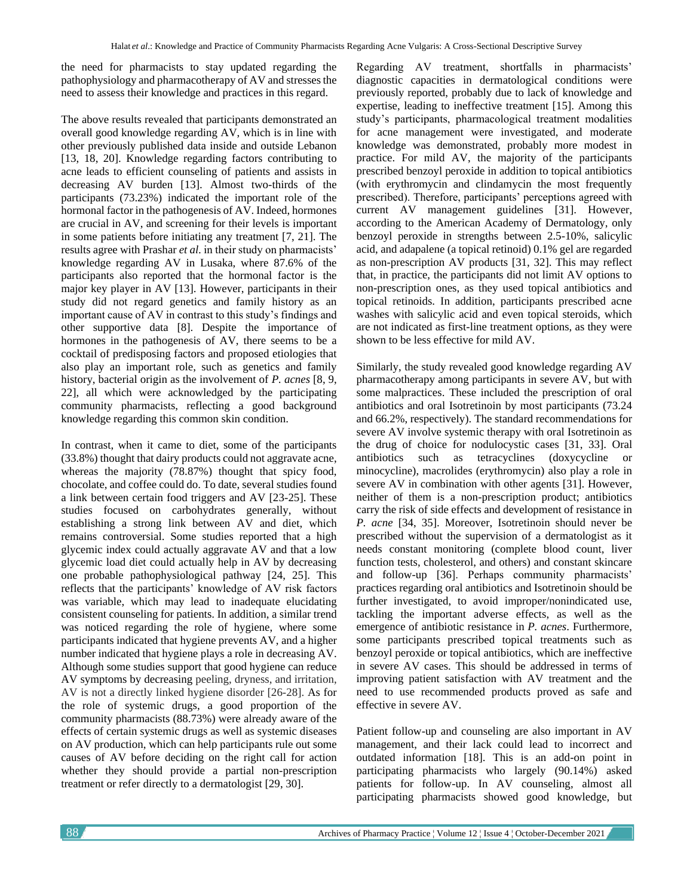the need for pharmacists to stay updated regarding the pathophysiology and pharmacotherapy of AV and stresses the need to assess their knowledge and practices in this regard.

The above results revealed that participants demonstrated an overall good knowledge regarding AV, which is in line with other previously published data inside and outside Lebanon [13, 18, 20]. Knowledge regarding factors contributing to acne leads to efficient counseling of patients and assists in decreasing AV burden [13]. Almost two-thirds of the participants (73.23%) indicated the important role of the hormonal factor in the pathogenesis of AV. Indeed, hormones are crucial in AV, and screening for their levels is important in some patients before initiating any treatment [7, 21]. The results agree with Prashar *et al*. in their study on pharmacists' knowledge regarding AV in Lusaka, where 87.6% of the participants also reported that the hormonal factor is the major key player in AV [13]. However, participants in their study did not regard genetics and family history as an important cause of AV in contrast to this study's findings and other supportive data [8]. Despite the importance of hormones in the pathogenesis of AV, there seems to be a cocktail of predisposing factors and proposed etiologies that also play an important role, such as genetics and family history, bacterial origin as the involvement of *P. acnes* [8, 9, 22], all which were acknowledged by the participating community pharmacists, reflecting a good background knowledge regarding this common skin condition.

In contrast, when it came to diet, some of the participants (33.8%) thought that dairy products could not aggravate acne, whereas the majority (78.87%) thought that spicy food, chocolate, and coffee could do. To date, several studies found a link between certain food triggers and AV [23-25]. These studies focused on carbohydrates generally, without establishing a strong link between AV and diet, which remains controversial. Some studies reported that a high glycemic index could actually aggravate AV and that a low glycemic load diet could actually help in AV by decreasing one probable pathophysiological pathway [24, 25]. This reflects that the participants' knowledge of AV risk factors was variable, which may lead to inadequate elucidating consistent counseling for patients. In addition, a similar trend was noticed regarding the role of hygiene, where some participants indicated that hygiene prevents AV, and a higher number indicated that hygiene plays a role in decreasing AV. Although some studies support that good hygiene can reduce AV symptoms by decreasing peeling, dryness, and irritation, AV is not a directly linked hygiene disorder [26-28]. As for the role of systemic drugs, a good proportion of the community pharmacists (88.73%) were already aware of the effects of certain systemic drugs as well as systemic diseases on AV production, which can help participants rule out some causes of AV before deciding on the right call for action whether they should provide a partial non-prescription treatment or refer directly to a dermatologist [29, 30].

Regarding AV treatment, shortfalls in pharmacists' diagnostic capacities in dermatological conditions were previously reported, probably due to lack of knowledge and expertise, leading to ineffective treatment [15]. Among this study's participants, pharmacological treatment modalities for acne management were investigated, and moderate knowledge was demonstrated, probably more modest in practice. For mild AV, the majority of the participants prescribed benzoyl peroxide in addition to topical antibiotics (with erythromycin and clindamycin the most frequently prescribed). Therefore, participants' perceptions agreed with current AV management guidelines [31]. However, according to the American Academy of Dermatology, only benzoyl peroxide in strengths between 2.5-10%, salicylic acid, and adapalene (a topical retinoid) 0.1% gel are regarded as non-prescription AV products [31, 32]. This may reflect that, in practice, the participants did not limit AV options to non-prescription ones, as they used topical antibiotics and topical retinoids. In addition, participants prescribed acne washes with salicylic acid and even topical steroids, which are not indicated as first-line treatment options, as they were shown to be less effective for mild AV.

Similarly, the study revealed good knowledge regarding AV pharmacotherapy among participants in severe AV, but with some malpractices. These included the prescription of oral antibiotics and oral Isotretinoin by most participants (73.24 and 66.2%, respectively). The standard recommendations for severe AV involve systemic therapy with oral Isotretinoin as the drug of choice for nodulocystic cases [31, 33]. Oral antibiotics such as tetracyclines (doxycycline or minocycline), macrolides (erythromycin) also play a role in severe AV in combination with other agents [31]. However, neither of them is a non-prescription product; antibiotics carry the risk of side effects and development of resistance in *P. acne* [34, 35]. Moreover, Isotretinoin should never be prescribed without the supervision of a dermatologist as it needs constant monitoring (complete blood count, liver function tests, cholesterol, and others) and constant skincare and follow-up [36]. Perhaps community pharmacists' practices regarding oral antibiotics and Isotretinoin should be further investigated, to avoid improper/nonindicated use, tackling the important adverse effects, as well as the emergence of antibiotic resistance in *P. acnes*. Furthermore, some participants prescribed topical treatments such as benzoyl peroxide or topical antibiotics, which are ineffective in severe AV cases. This should be addressed in terms of improving patient satisfaction with AV treatment and the need to use recommended products proved as safe and effective in severe AV.

Patient follow-up and counseling are also important in AV management, and their lack could lead to incorrect and outdated information [18]. This is an add-on point in participating pharmacists who largely (90.14%) asked patients for follow-up. In AV counseling, almost all participating pharmacists showed good knowledge, but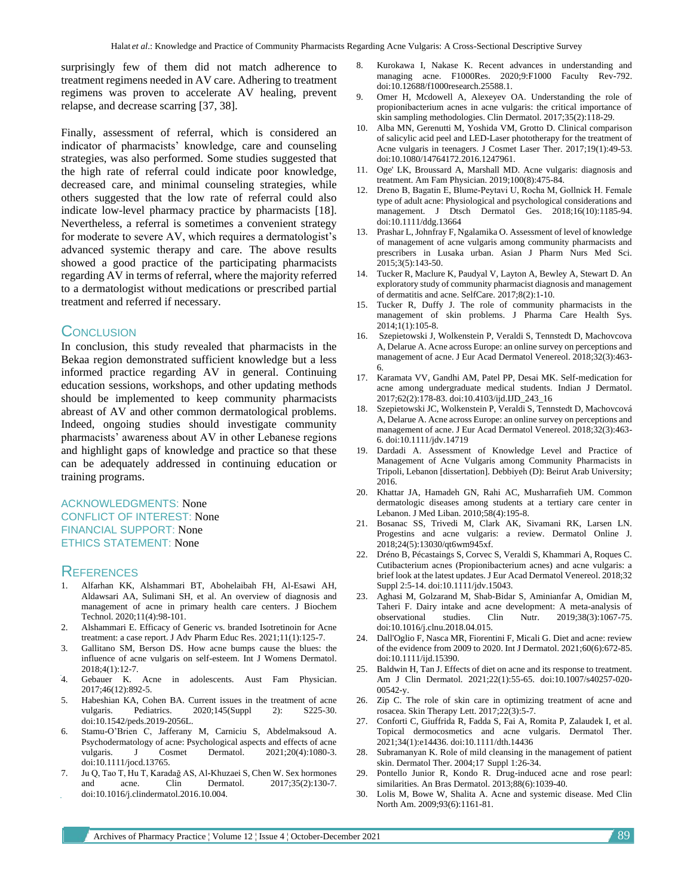surprisingly few of them did not match adherence to treatment regimens needed in AV care. Adhering to treatment regimens was proven to accelerate AV healing, prevent relapse, and decrease scarring [37, 38].

Finally, assessment of referral, which is considered an indicator of pharmacists' knowledge, care and counseling strategies, was also performed. Some studies suggested that the high rate of referral could indicate poor knowledge, decreased care, and minimal counseling strategies, while others suggested that the low rate of referral could also indicate low-level pharmacy practice by pharmacists [18]. Nevertheless, a referral is sometimes a convenient strategy for moderate to severe AV, which requires a dermatologist's advanced systemic therapy and care. The above results showed a good practice of the participating pharmacists regarding AV in terms of referral, where the majority referred to a dermatologist without medications or prescribed partial treatment and referred if necessary.

### **CONCLUSION**

In conclusion, this study revealed that pharmacists in the Bekaa region demonstrated sufficient knowledge but a less informed practice regarding AV in general. Continuing education sessions, workshops, and other updating methods should be implemented to keep community pharmacists abreast of AV and other common dermatological problems. Indeed, ongoing studies should investigate community pharmacists' awareness about AV in other Lebanese regions and highlight gaps of knowledge and practice so that these can be adequately addressed in continuing education or training programs.

#### ACKNOWLEDGMENTS: None CONFLICT OF INTEREST: None FINANCIAL SUPPORT: None ETHICS STATEMENT: None

#### **REFERENCES**

- 1. Alfarhan KK, Alshammari BT, Abohelaibah FH, Al-Esawi AH, Aldawsari AA, Sulimani SH, et al. An overview of diagnosis and management of acne in primary health care centers. J Biochem Technol. 2020;11(4):98-101.
- 2. Alshammari E. Efficacy of Generic vs. branded Isotretinoin for Acne treatment: a case report. J Adv Pharm Educ Res. 2021;11(1):125-7.
- 3. Gallitano SM, Berson DS. How acne bumps cause the blues: the influence of acne vulgaris on self-esteem. Int J Womens Dermatol. 2018;4(1):12-7.
- 4. Gebauer K. Acne in adolescents. Aust Fam Physician. 2017;46(12):892-5.
- 5. Habeshian KA, Cohen BA. Current issues in the treatment of acne vulgaris. Pediatrics. 2020;145(Suppl 2): S225-30. doi:10.1542/peds.2019-2056L.
- 6. Stamu-O'Brien C, Jafferany M, Carniciu S, Abdelmaksoud A. Psychodermatology of acne: Psychological aspects and effects of acne vulgaris. J Cosmet Dermatol. 2021;20(4):1080-3. doi:10.1111/jocd.13765.
- 7. Ju Q, Tao T, Hu T, Karadağ AS, Al-Khuzaei S, Chen W. Sex hormones and acne. Clin Dermatol. 2017;35(2):130-7. doi:10.1016/j.clindermatol.2016.10.004.
- 8. Kurokawa I, Nakase K. Recent advances in understanding and managing acne. F1000Res. 2020;9:F1000 Faculty Rev-792. doi:10.12688/f1000research.25588.1.
- 9. Omer H, Mcdowell A, Alexeyev OA. Understanding the role of propionibacterium acnes in acne vulgaris: the critical importance of skin sampling methodologies. Clin Dermatol. 2017;35(2):118-29.
- 10. Alba MN, Gerenutti M, Yoshida VM, Grotto D. Clinical comparison of salicylic acid peel and LED-Laser phototherapy for the treatment of Acne vulgaris in teenagers. J Cosmet Laser Ther. 2017;19(1):49-53. doi:10.1080/14764172.2016.1247961.
- 11. Oge' LK, Broussard A, Marshall MD. Acne vulgaris: diagnosis and treatment. Am Fam Physician. 2019;100(8):475-84.
- 12. Dreno B, Bagatin E, Blume‐Peytavi U, Rocha M, Gollnick H. Female type of adult acne: Physiological and psychological considerations and management. J Dtsch Dermatol Ges. 2018;16(10):1185-94. doi:10.1111/ddg.13664
- 13. Prashar L, Johnfray F, Ngalamika O. Assessment of level of knowledge of management of acne vulgaris among community pharmacists and prescribers in Lusaka urban. Asian J Pharm Nurs Med Sci. 2015;3(5):143-50.
- 14. Tucker R, Maclure K, Paudyal V, Layton A, Bewley A, Stewart D. An exploratory study of community pharmacist diagnosis and management of dermatitis and acne. SelfCare. 2017;8(2):1-10.
- 15. Tucker R, Duffy J. The role of community pharmacists in the management of skin problems. J Pharma Care Health Sys. 2014;1(1):105-8.
- 16. Szepietowski J, Wolkenstein P, Veraldi S, Tennstedt D, Machovcova A, Delarue A. Acne across Europe: an online survey on perceptions and management of acne. J Eur Acad Dermatol Venereol. 2018;32(3):463- 6.
- 17. Karamata VV, Gandhi AM, Patel PP, Desai MK. Self-medication for acne among undergraduate medical students. Indian J Dermatol. 2017;62(2):178-83. [doi:10.4103/ijd.IJD\\_243\\_16](https://doi.org/10.4103/ijd.IJD_243_16)
- 18. Szepietowski JC, Wolkenstein P, Veraldi S, Tennstedt D, Machovcová A, Delarue A. Acne across Europe: an online survey on perceptions and management of acne. J Eur Acad Dermatol Venereol. 2018;32(3):463- 6. doi:10.1111/jdv.14719
- 19. Dardadi A. Assessment of Knowledge Level and Practice of Management of Acne Vulgaris among Community Pharmacists in Tripoli, Lebanon [dissertation]. Debbiyeh (D): Beirut Arab University; 2016.
- 20. Khattar JA, Hamadeh GN, Rahi AC, Musharrafieh UM. Common dermatologic diseases among students at a tertiary care center in Lebanon. J Med Liban. 2010;58(4):195-8.
- 21. Bosanac SS, Trivedi M, Clark AK, Sivamani RK, Larsen LN. Progestins and acne vulgaris: a review. Dermatol Online J. 2018;24(5):13030/qt6wm945xf.
- 22. Dréno B, Pécastaings S, Corvec S, Veraldi S, Khammari A, Roques C. Cutibacterium acnes (Propionibacterium acnes) and acne vulgaris: a brief look at the latest updates. J Eur Acad Dermatol Venereol. 2018;32 Suppl 2:5-14. doi:10.1111/jdv.15043.
- 23. Aghasi M, Golzarand M, Shab-Bidar S, Aminianfar A, Omidian M, Taheri F. Dairy intake and acne development: A meta-analysis of observational studies. Clin Nutr. 2019;38(3):1067-75. doi:10.1016/j.clnu.2018.04.015.
- 24. Dall'Oglio F, Nasca MR, Fiorentini F, Micali G. Diet and acne: review of the evidence from 2009 to 2020. Int J Dermatol. 2021;60(6):672-85. doi:10.1111/ijd.15390.
- 25. Baldwin H, Tan J. Effects of diet on acne and its response to treatment. Am J Clin Dermatol. 2021;22(1):55-65. doi:10.1007/s40257-020- 00542-y.
- 26. Zip C. The role of skin care in optimizing treatment of acne and rosacea. Skin Therapy Lett. 2017;22(3):5-7.
- 27. Conforti C, Giuffrida R, Fadda S, Fai A, Romita P, Zalaudek I, et al. Topical dermocosmetics and acne vulgaris. Dermatol Ther. 2021;34(1):e14436. doi:10.1111/dth.14436
- 28. Subramanyan K. Role of mild cleansing in the management of patient skin. Dermatol Ther. 2004;17 Suppl 1:26-34.
- Pontello Junior R, Kondo R. Drug-induced acne and rose pearl: similarities. An Bras Dermatol. 2013;88(6):1039-40.
- 30. Lolis M, Bowe W, Shalita A. Acne and systemic disease. Med Clin North Am. 2009;93(6):1161-81.